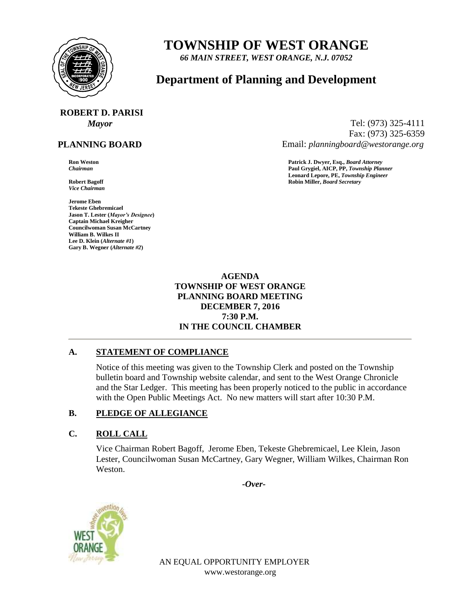

## **TOWNSHIP OF WEST ORANGE**

*66 MAIN STREET, WEST ORANGE, N.J. 07052*

### **Department of Planning and Development**

# **ROBERT D. PARISI**

#### **PLANNING BOARD**

*Vice Chairman*

**Jerome Eben Tekeste Ghebremicael Jason T. Lester (***Mayor's Designee***) Captain Michael Kreigher Councilwoman Susan McCartney William B. Wilkes II Lee D. Klein (***Alternate #1***) Gary B. Wegner (***Alternate #2***)**

*Mayor* Tel: (973) 325-4111 Fax: (973) 325-6359 Email: *planningboard@westorange.org*

**Ron Weston Patrick J. Dwyer, Esq.,** *Board Attorney Chairman* **Paul Grygiel, AICP, PP,** *Township Planner* **Leonard Lepore, PE,** *Township Engineer* **Robert Bagoff Robin Miller,** *Board Secretary*

> **AGENDA TOWNSHIP OF WEST ORANGE PLANNING BOARD MEETING DECEMBER 7, 2016 7:30 P.M. IN THE COUNCIL CHAMBER**

#### **A. STATEMENT OF COMPLIANCE**

Notice of this meeting was given to the Township Clerk and posted on the Township bulletin board and Township website calendar, and sent to the West Orange Chronicle and the Star Ledger. This meeting has been properly noticed to the public in accordance with the Open Public Meetings Act. No new matters will start after 10:30 P.M.

#### **B. PLEDGE OF ALLEGIANCE**

#### **C. ROLL CALL**

Vice Chairman Robert Bagoff, Jerome Eben, Tekeste Ghebremicael, Lee Klein, Jason Lester, Councilwoman Susan McCartney, Gary Wegner, William Wilkes, Chairman Ron Weston.

*-Over-*



AN EQUAL OPPORTUNITY EMPLOYER www.westorange.org